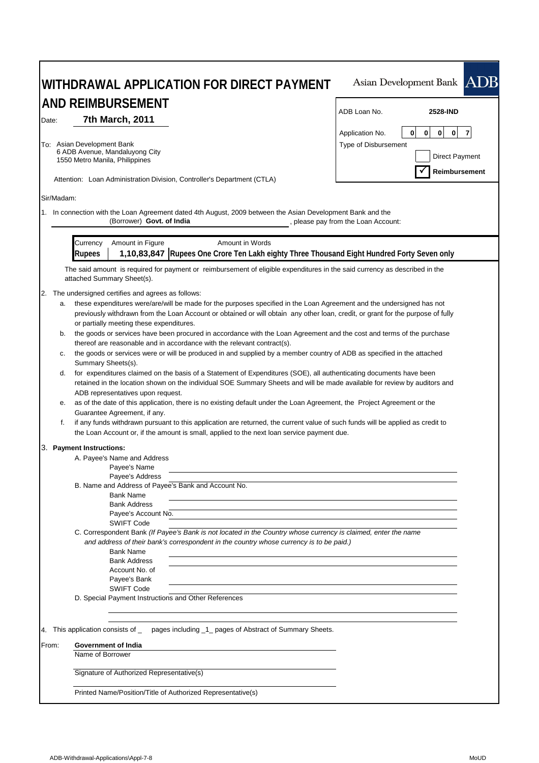| WITHDRAWAL APPLICATION FOR DIRECT PAYMENT<br><b>AND REIMBURSEMENT</b>                                                                                                                                                                                                                                                                                                | Asian Development Bank ADB                                                                          |
|----------------------------------------------------------------------------------------------------------------------------------------------------------------------------------------------------------------------------------------------------------------------------------------------------------------------------------------------------------------------|-----------------------------------------------------------------------------------------------------|
|                                                                                                                                                                                                                                                                                                                                                                      | ADB Loan No.<br><b>2528-IND</b>                                                                     |
| 7th March, 2011<br>Date:<br>To: Asian Development Bank<br>6 ADB Avenue, Mandaluyong City                                                                                                                                                                                                                                                                             | 0<br>0<br>$\mathbf{0}$<br>$\overline{7}$<br>Application No.<br>$\mathbf{0}$<br>Type of Disbursement |
| 1550 Metro Manila, Philippines                                                                                                                                                                                                                                                                                                                                       | Direct Payment<br>Reimbursement                                                                     |
| Attention: Loan Administration Division, Controller's Department (CTLA)                                                                                                                                                                                                                                                                                              |                                                                                                     |
| Sir/Madam:                                                                                                                                                                                                                                                                                                                                                           |                                                                                                     |
| 1. In connection with the Loan Agreement dated 4th August, 2009 between the Asian Development Bank and the<br>(Borrower) Govt. of India                                                                                                                                                                                                                              | , please pay from the Loan Account:                                                                 |
| Currency<br>Amount in Figure<br>Amount in Words<br>1,10,83,847 Rupees One Crore Ten Lakh eighty Three Thousand Eight Hundred Forty Seven only<br><b>Rupees</b>                                                                                                                                                                                                       |                                                                                                     |
| The said amount is required for payment or reimbursement of eligible expenditures in the said currency as described in the<br>attached Summary Sheet(s).                                                                                                                                                                                                             |                                                                                                     |
| 2.<br>The undersigned certifies and agrees as follows:<br>these expenditures were/are/will be made for the purposes specified in the Loan Agreement and the undersigned has not<br>а.<br>previously withdrawn from the Loan Account or obtained or will obtain any other loan, credit, or grant for the purpose of fully<br>or partially meeting these expenditures. |                                                                                                     |
| the goods or services have been procured in accordance with the Loan Agreement and the cost and terms of the purchase<br>b.<br>thereof are reasonable and in accordance with the relevant contract(s).                                                                                                                                                               |                                                                                                     |
| the goods or services were or will be produced in and supplied by a member country of ADB as specified in the attached<br>с.<br>Summary Sheets(s).                                                                                                                                                                                                                   |                                                                                                     |
| for expenditures claimed on the basis of a Statement of Expenditures (SOE), all authenticating documents have been<br>d.<br>retained in the location shown on the individual SOE Summary Sheets and will be made available for review by auditors and<br>ADB representatives upon request.                                                                           |                                                                                                     |
| as of the date of this application, there is no existing default under the Loan Agreement, the Project Agreement or the<br>е.<br>Guarantee Agreement, if any.                                                                                                                                                                                                        |                                                                                                     |
| f.<br>if any funds withdrawn pursuant to this application are returned, the current value of such funds will be applied as credit to<br>the Loan Account or, if the amount is small, applied to the next loan service payment due.                                                                                                                                   |                                                                                                     |
| 3. Payment Instructions:                                                                                                                                                                                                                                                                                                                                             |                                                                                                     |
| A. Payee's Name and Address<br>Payee's Name                                                                                                                                                                                                                                                                                                                          |                                                                                                     |
| Payee's Address<br>B. Name and Address of Payee's Bank and Account No.                                                                                                                                                                                                                                                                                               |                                                                                                     |
| <b>Bank Name</b><br><b>Bank Address</b><br>Payee's Account No.                                                                                                                                                                                                                                                                                                       |                                                                                                     |
| <b>SWIFT Code</b><br>C. Correspondent Bank (If Payee's Bank is not located in the Country whose currency is claimed, enter the name<br>and address of their bank's correspondent in the country whose currency is to be paid.)                                                                                                                                       |                                                                                                     |
| <b>Bank Name</b><br><b>Bank Address</b><br>Account No. of<br>Payee's Bank                                                                                                                                                                                                                                                                                            |                                                                                                     |
| <b>SWIFT Code</b><br>D. Special Payment Instructions and Other References                                                                                                                                                                                                                                                                                            |                                                                                                     |
| pages including _1_ pages of Abstract of Summary Sheets.<br>4. This application consists of _                                                                                                                                                                                                                                                                        |                                                                                                     |
| Government of India<br>From:<br>Name of Borrower                                                                                                                                                                                                                                                                                                                     |                                                                                                     |
| Signature of Authorized Representative(s)                                                                                                                                                                                                                                                                                                                            |                                                                                                     |
| Printed Name/Position/Title of Authorized Representative(s)                                                                                                                                                                                                                                                                                                          |                                                                                                     |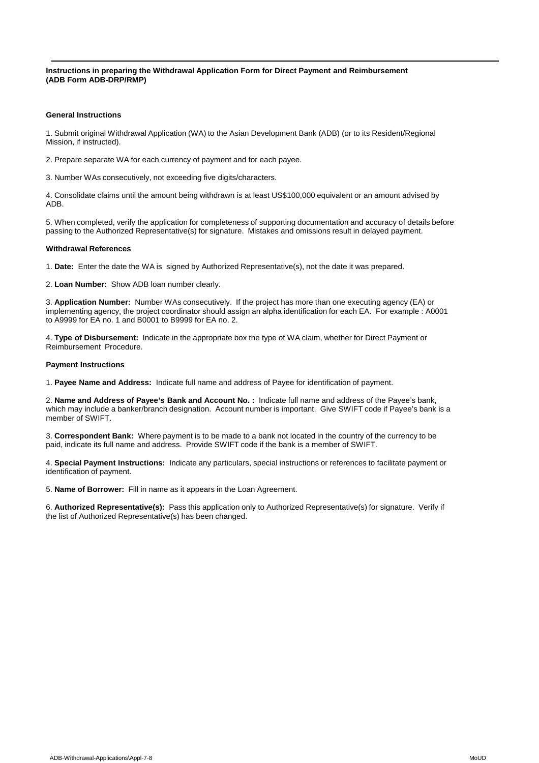**Instructions in preparing the Withdrawal Application Form for Direct Payment and Reimbursement (ADB Form ADB-DRP/RMP)**

### **General Instructions**

1. Submit original Withdrawal Application (WA) to the Asian Development Bank (ADB) (or to its Resident/Regional Mission, if instructed).

2. Prepare separate WA for each currency of payment and for each payee.

3. Number WAs consecutively, not exceeding five digits/characters.

4. Consolidate claims until the amount being withdrawn is at least US\$100,000 equivalent or an amount advised by ADB.

5. When completed, verify the application for completeness of supporting documentation and accuracy of details before passing to the Authorized Representative(s) for signature. Mistakes and omissions result in delayed payment.

#### **Withdrawal References**

1. **Date:** Enter the date the WA is signed by Authorized Representative(s), not the date it was prepared.

2. **Loan Number:** Show ADB loan number clearly.

3. **Application Number:** Number WAs consecutively. If the project has more than one executing agency (EA) or implementing agency, the project coordinator should assign an alpha identification for each EA. For example : A0001 to A9999 for EA no. 1 and B0001 to B9999 for EA no. 2.

4. **Type of Disbursement:** Indicate in the appropriate box the type of WA claim, whether for Direct Payment or Reimbursement Procedure.

#### **Payment Instructions**

1. **Payee Name and Address:** Indicate full name and address of Payee for identification of payment.

2. **Name and Address of Payee's Bank and Account No. :** Indicate full name and address of the Payee's bank, which may include a banker/branch designation. Account number is important. Give SWIFT code if Payee's bank is a member of SWIFT.

3. **Correspondent Bank:** Where payment is to be made to a bank not located in the country of the currency to be paid, indicate its full name and address. Provide SWIFT code if the bank is a member of SWIFT.

4. **Special Payment Instructions:** Indicate any particulars, special instructions or references to facilitate payment or identification of payment.

5. **Name of Borrower:** Fill in name as it appears in the Loan Agreement.

6. **Authorized Representative(s):** Pass this application only to Authorized Representative(s) for signature. Verify if the list of Authorized Representative(s) has been changed.